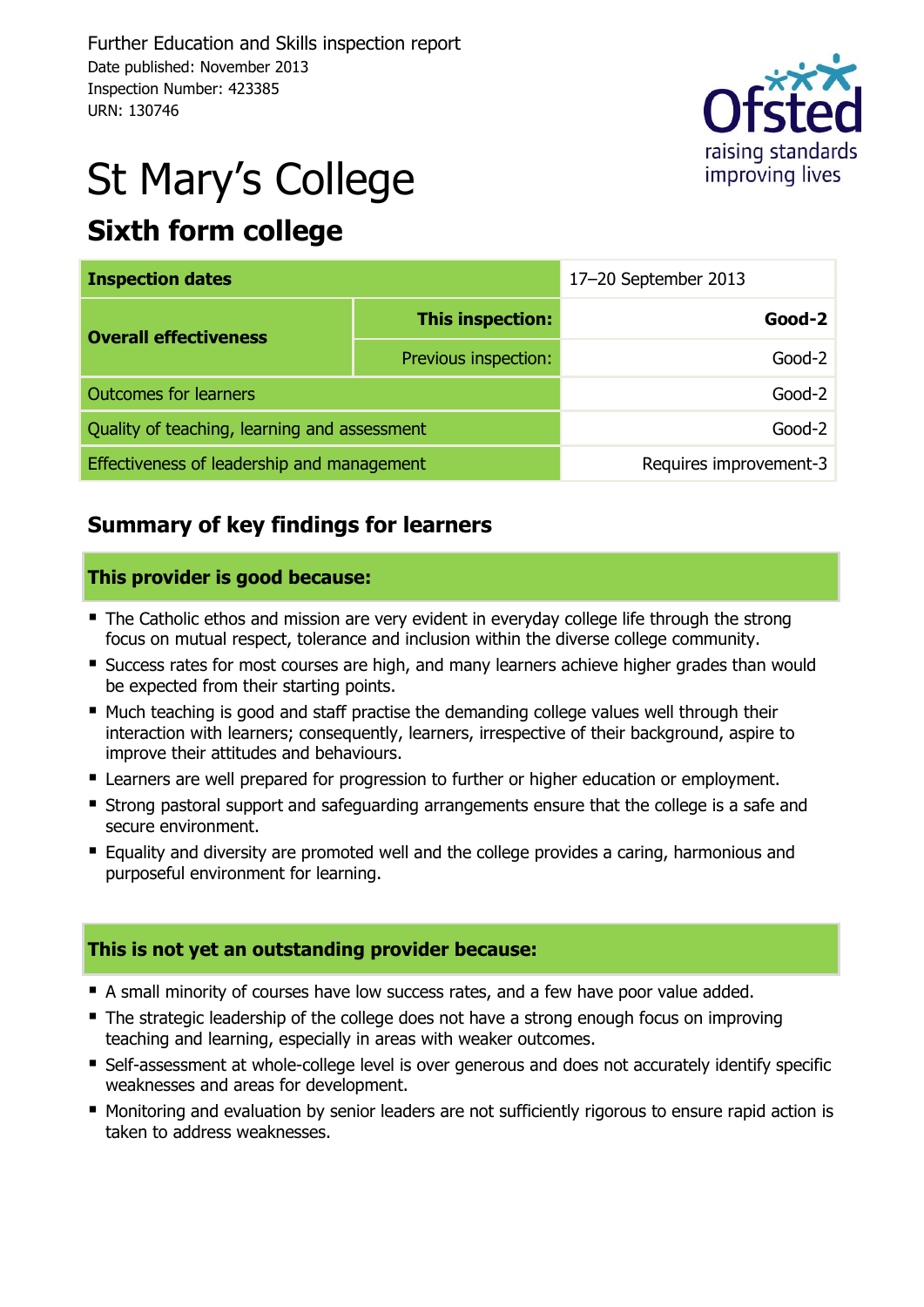

# St Mary's College

# **Sixth form college**

| <b>Inspection dates</b>                      |                         | 17-20 September 2013   |  |  |
|----------------------------------------------|-------------------------|------------------------|--|--|
| <b>Overall effectiveness</b>                 | <b>This inspection:</b> | Good-2                 |  |  |
|                                              | Previous inspection:    | Good-2                 |  |  |
| <b>Outcomes for learners</b>                 |                         | Good-2                 |  |  |
| Quality of teaching, learning and assessment | Good-2                  |                        |  |  |
| Effectiveness of leadership and management   |                         | Requires improvement-3 |  |  |

## **Summary of key findings for learners**

#### **This provider is good because:**

- The Catholic ethos and mission are very evident in everyday college life through the strong focus on mutual respect, tolerance and inclusion within the diverse college community.
- **Success rates for most courses are high, and many learners achieve higher grades than would** be expected from their starting points.
- Much teaching is good and staff practise the demanding college values well through their interaction with learners; consequently, learners, irrespective of their background, aspire to improve their attitudes and behaviours.
- **E** Learners are well prepared for progression to further or higher education or employment.
- **Strong pastoral support and safeguarding arrangements ensure that the college is a safe and** secure environment.
- Equality and diversity are promoted well and the college provides a caring, harmonious and purposeful environment for learning.

#### **This is not yet an outstanding provider because:**

- A small minority of courses have low success rates, and a few have poor value added.
- The strategic leadership of the college does not have a strong enough focus on improving teaching and learning, especially in areas with weaker outcomes.
- Self-assessment at whole-college level is over generous and does not accurately identify specific weaknesses and areas for development.
- **Monitoring and evaluation by senior leaders are not sufficiently rigorous to ensure rapid action is** taken to address weaknesses.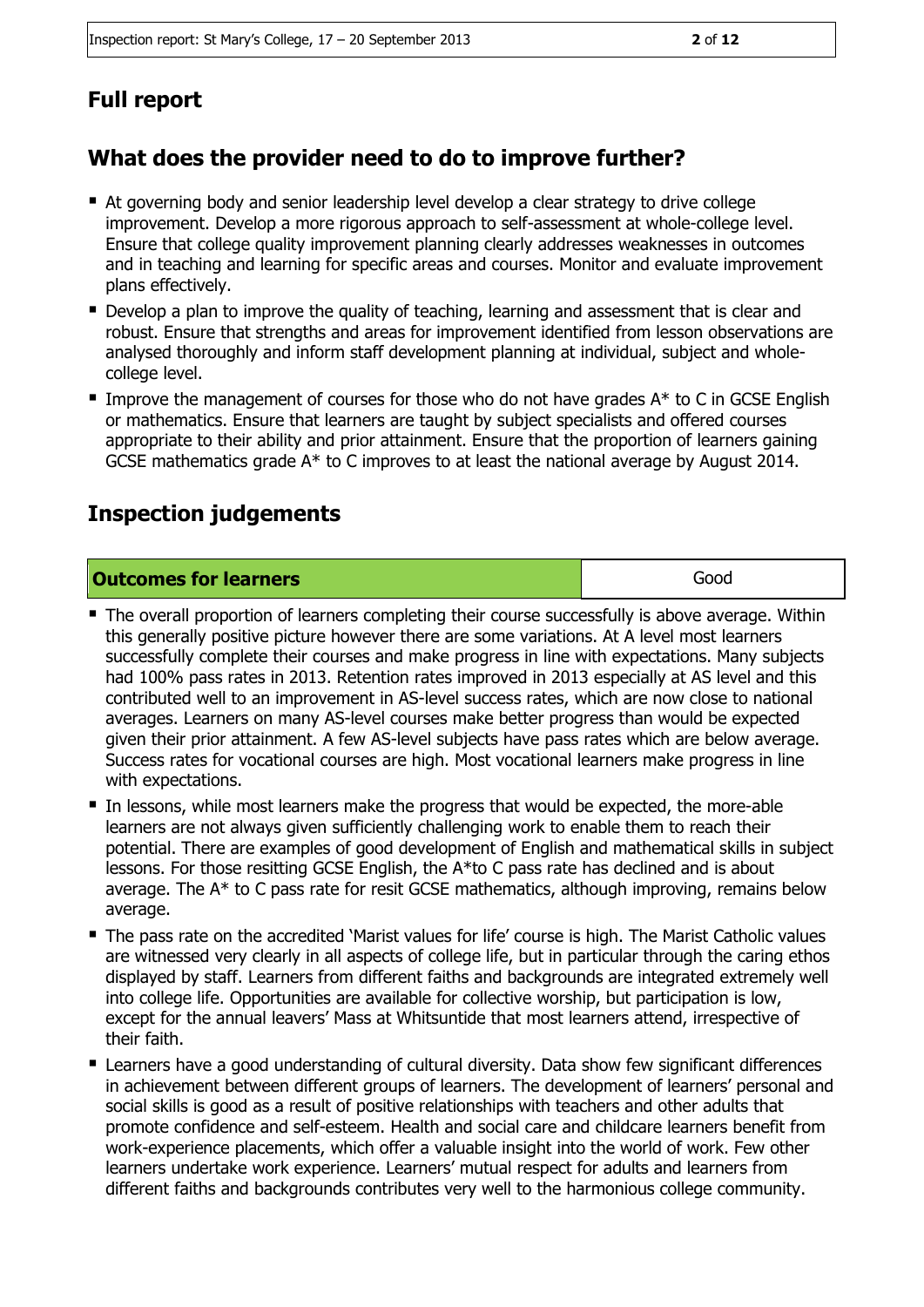## **Full report**

## **What does the provider need to do to improve further?**

- At governing body and senior leadership level develop a clear strategy to drive college improvement. Develop a more rigorous approach to self-assessment at whole-college level. Ensure that college quality improvement planning clearly addresses weaknesses in outcomes and in teaching and learning for specific areas and courses. Monitor and evaluate improvement plans effectively.
- **Develop a plan to improve the quality of teaching, learning and assessment that is clear and** robust. Ensure that strengths and areas for improvement identified from lesson observations are analysed thoroughly and inform staff development planning at individual, subject and wholecollege level.
- Improve the management of courses for those who do not have grades  $A^*$  to C in GCSE English or mathematics. Ensure that learners are taught by subject specialists and offered courses appropriate to their ability and prior attainment. Ensure that the proportion of learners gaining GCSE mathematics grade A\* to C improves to at least the national average by August 2014.

## **Inspection judgements**

#### **Outcomes for learners** and the contract of the contract of the contract of the contract of the contract of the contract of the contract of the contract of the contract of the contract of the contract of the contract of th

- **The overall proportion of learners completing their course successfully is above average. Within** this generally positive picture however there are some variations. At A level most learners successfully complete their courses and make progress in line with expectations. Many subjects had 100% pass rates in 2013. Retention rates improved in 2013 especially at AS level and this contributed well to an improvement in AS-level success rates, which are now close to national averages. Learners on many AS-level courses make better progress than would be expected given their prior attainment. A few AS-level subjects have pass rates which are below average. Success rates for vocational courses are high. Most vocational learners make progress in line with expectations.
- In lessons, while most learners make the progress that would be expected, the more-able learners are not always given sufficiently challenging work to enable them to reach their potential. There are examples of good development of English and mathematical skills in subject lessons. For those resitting GCSE English, the A\*to C pass rate has declined and is about average. The A\* to C pass rate for resit GCSE mathematics, although improving, remains below average.
- The pass rate on the accredited 'Marist values for life' course is high. The Marist Catholic values are witnessed very clearly in all aspects of college life, but in particular through the caring ethos displayed by staff. Learners from different faiths and backgrounds are integrated extremely well into college life. Opportunities are available for collective worship, but participation is low, except for the annual leavers' Mass at Whitsuntide that most learners attend, irrespective of their faith.
- Learners have a good understanding of cultural diversity. Data show few significant differences in achievement between different groups of learners. The development of learners' personal and social skills is good as a result of positive relationships with teachers and other adults that promote confidence and self-esteem. Health and social care and childcare learners benefit from work-experience placements, which offer a valuable insight into the world of work. Few other learners undertake work experience. Learners' mutual respect for adults and learners from different faiths and backgrounds contributes very well to the harmonious college community.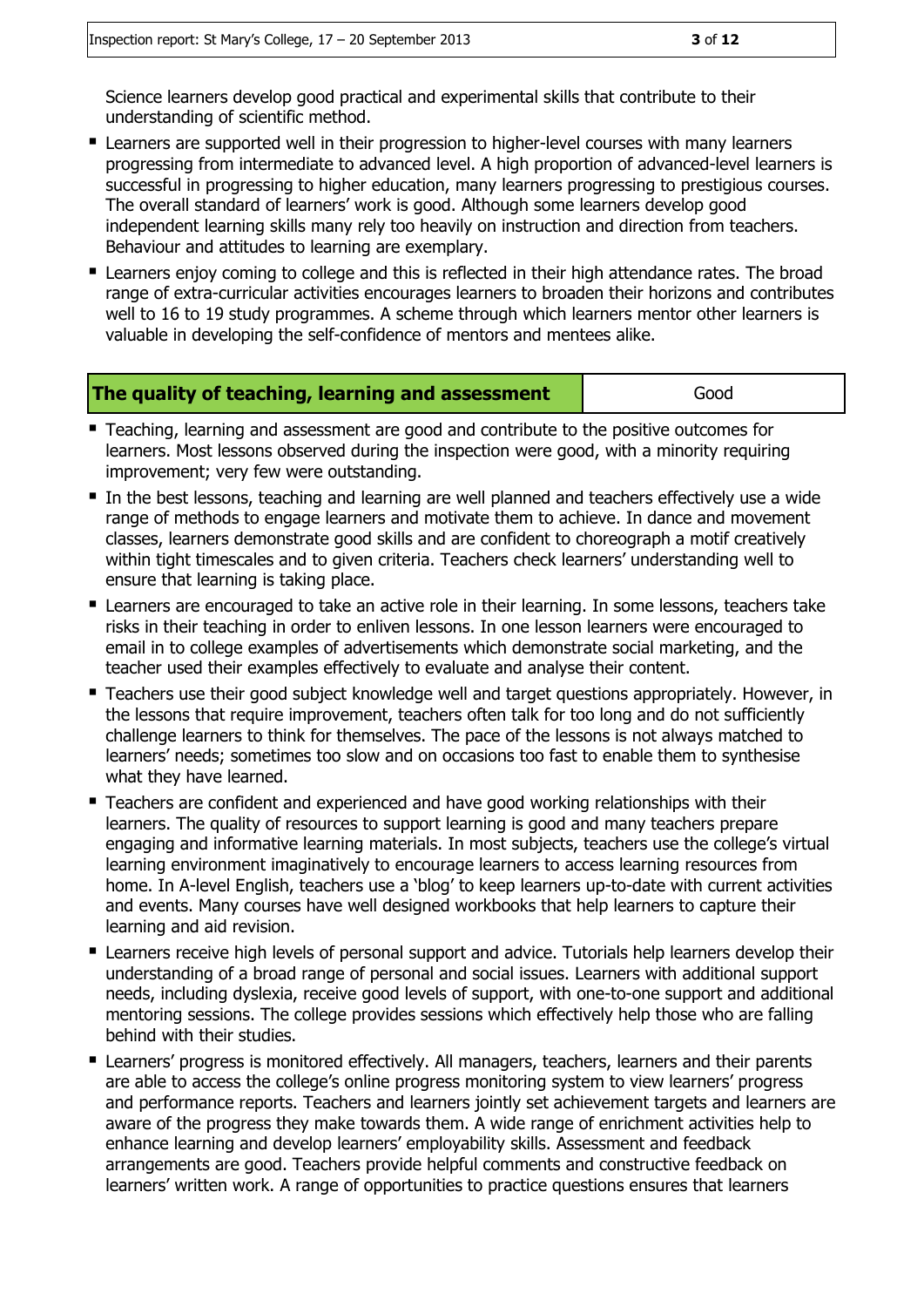Science learners develop good practical and experimental skills that contribute to their understanding of scientific method.

- **E** Learners are supported well in their progression to higher-level courses with many learners progressing from intermediate to advanced level. A high proportion of advanced-level learners is successful in progressing to higher education, many learners progressing to prestigious courses. The overall standard of learners' work is good. Although some learners develop good independent learning skills many rely too heavily on instruction and direction from teachers. Behaviour and attitudes to learning are exemplary.
- **E** Learners enjoy coming to college and this is reflected in their high attendance rates. The broad range of extra-curricular activities encourages learners to broaden their horizons and contributes well to 16 to 19 study programmes. A scheme through which learners mentor other learners is valuable in developing the self-confidence of mentors and mentees alike.

| The quality of teaching, learning and assessment | Good |
|--------------------------------------------------|------|
|--------------------------------------------------|------|

- Teaching, learning and assessment are good and contribute to the positive outcomes for learners. Most lessons observed during the inspection were good, with a minority requiring improvement; very few were outstanding.
- In the best lessons, teaching and learning are well planned and teachers effectively use a wide range of methods to engage learners and motivate them to achieve. In dance and movement classes, learners demonstrate good skills and are confident to choreograph a motif creatively within tight timescales and to given criteria. Teachers check learners' understanding well to ensure that learning is taking place.
- Learners are encouraged to take an active role in their learning. In some lessons, teachers take risks in their teaching in order to enliven lessons. In one lesson learners were encouraged to email in to college examples of advertisements which demonstrate social marketing, and the teacher used their examples effectively to evaluate and analyse their content.
- **Teachers use their good subject knowledge well and target questions appropriately. However, in** the lessons that require improvement, teachers often talk for too long and do not sufficiently challenge learners to think for themselves. The pace of the lessons is not always matched to learners' needs; sometimes too slow and on occasions too fast to enable them to synthesise what they have learned.
- Teachers are confident and experienced and have good working relationships with their learners. The quality of resources to support learning is good and many teachers prepare engaging and informative learning materials. In most subjects, teachers use the college's virtual learning environment imaginatively to encourage learners to access learning resources from home. In A-level English, teachers use a 'blog' to keep learners up-to-date with current activities and events. Many courses have well designed workbooks that help learners to capture their learning and aid revision.
- **E** Learners receive high levels of personal support and advice. Tutorials help learners develop their understanding of a broad range of personal and social issues. Learners with additional support needs, including dyslexia, receive good levels of support, with one-to-one support and additional mentoring sessions. The college provides sessions which effectively help those who are falling behind with their studies.
- **E** Learners' progress is monitored effectively. All managers, teachers, learners and their parents are able to access the college's online progress monitoring system to view learners' progress and performance reports. Teachers and learners jointly set achievement targets and learners are aware of the progress they make towards them. A wide range of enrichment activities help to enhance learning and develop learners' employability skills. Assessment and feedback arrangements are good. Teachers provide helpful comments and constructive feedback on learners' written work. A range of opportunities to practice questions ensures that learners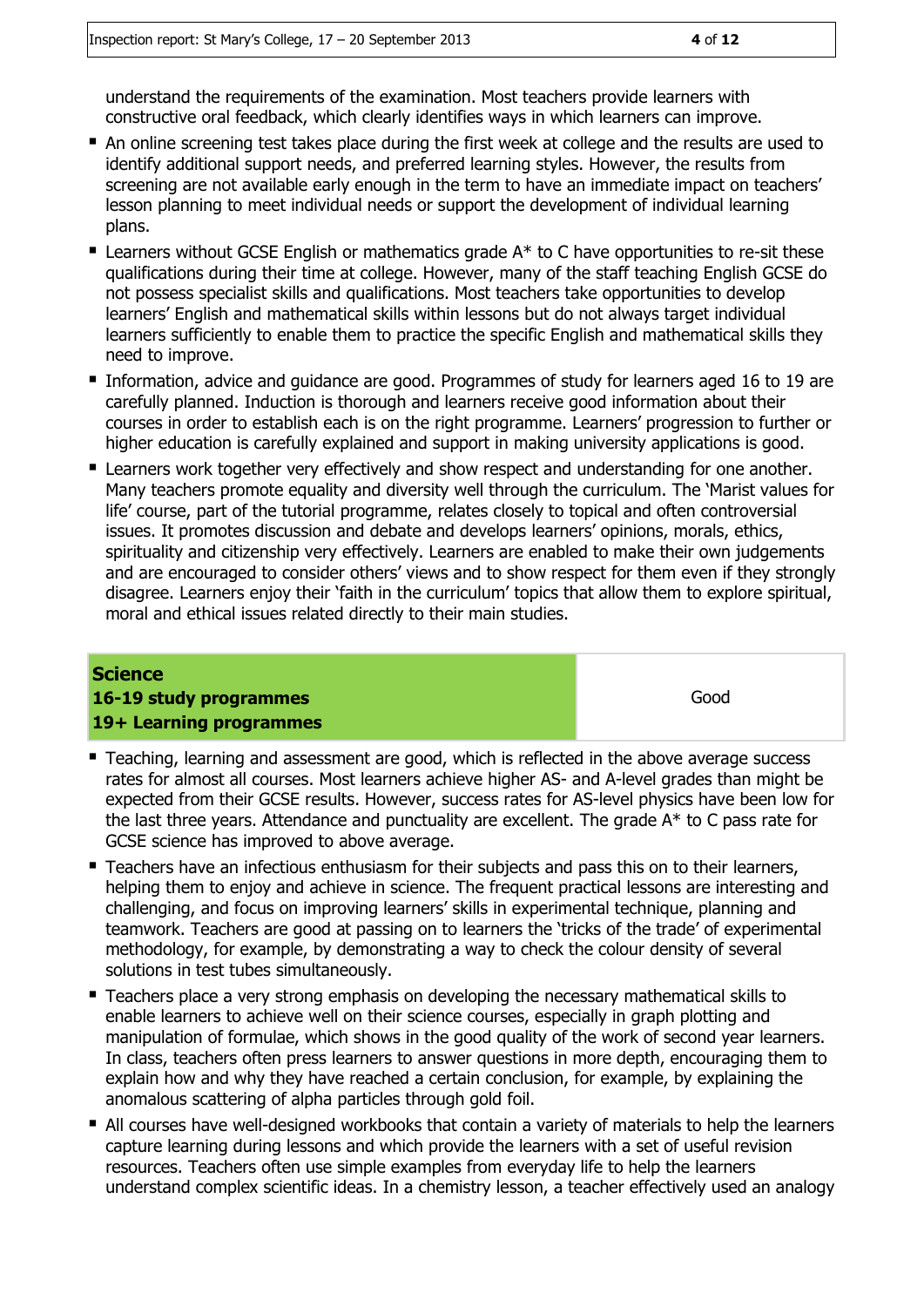understand the requirements of the examination. Most teachers provide learners with constructive oral feedback, which clearly identifies ways in which learners can improve.

- An online screening test takes place during the first week at college and the results are used to identify additional support needs, and preferred learning styles. However, the results from screening are not available early enough in the term to have an immediate impact on teachers' lesson planning to meet individual needs or support the development of individual learning plans.
- **E** Learners without GCSE English or mathematics grade  $A^*$  to C have opportunities to re-sit these qualifications during their time at college. However, many of the staff teaching English GCSE do not possess specialist skills and qualifications. Most teachers take opportunities to develop learners' English and mathematical skills within lessons but do not always target individual learners sufficiently to enable them to practice the specific English and mathematical skills they need to improve.
- **Information, advice and guidance are good. Programmes of study for learners aged 16 to 19 are** carefully planned. Induction is thorough and learners receive good information about their courses in order to establish each is on the right programme. Learners' progression to further or higher education is carefully explained and support in making university applications is good.
- Learners work together very effectively and show respect and understanding for one another. Many teachers promote equality and diversity well through the curriculum. The 'Marist values for life' course, part of the tutorial programme, relates closely to topical and often controversial issues. It promotes discussion and debate and develops learners' opinions, morals, ethics, spirituality and citizenship very effectively. Learners are enabled to make their own judgements and are encouraged to consider others' views and to show respect for them even if they strongly disagree. Learners enjoy their 'faith in the curriculum' topics that allow them to explore spiritual, moral and ethical issues related directly to their main studies.

#### **Science 16-19 study programmes 19+ Learning programmes**

Good

- Teaching, learning and assessment are good, which is reflected in the above average success rates for almost all courses. Most learners achieve higher AS- and A-level grades than might be expected from their GCSE results. However, success rates for AS-level physics have been low for the last three years. Attendance and punctuality are excellent. The grade A\* to C pass rate for GCSE science has improved to above average.
- **Teachers have an infectious enthusiasm for their subjects and pass this on to their learners,** helping them to enjoy and achieve in science. The frequent practical lessons are interesting and challenging, and focus on improving learners' skills in experimental technique, planning and teamwork. Teachers are good at passing on to learners the 'tricks of the trade' of experimental methodology, for example, by demonstrating a way to check the colour density of several solutions in test tubes simultaneously.
- Teachers place a very strong emphasis on developing the necessary mathematical skills to enable learners to achieve well on their science courses, especially in graph plotting and manipulation of formulae, which shows in the good quality of the work of second year learners. In class, teachers often press learners to answer questions in more depth, encouraging them to explain how and why they have reached a certain conclusion, for example, by explaining the anomalous scattering of alpha particles through gold foil.
- All courses have well-designed workbooks that contain a variety of materials to help the learners capture learning during lessons and which provide the learners with a set of useful revision resources. Teachers often use simple examples from everyday life to help the learners understand complex scientific ideas. In a chemistry lesson, a teacher effectively used an analogy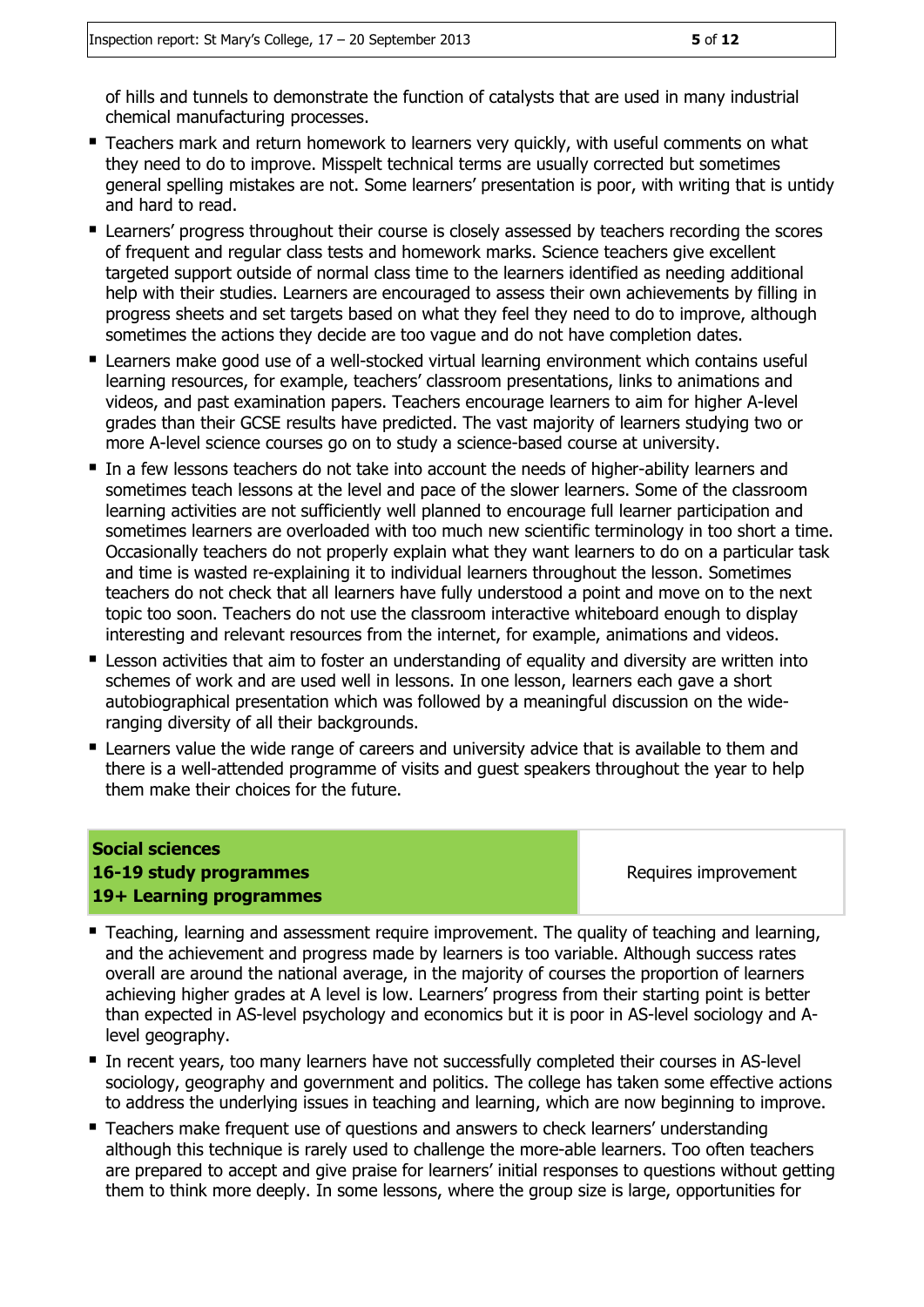of hills and tunnels to demonstrate the function of catalysts that are used in many industrial chemical manufacturing processes.

- **Teachers mark and return homework to learners very quickly, with useful comments on what** they need to do to improve. Misspelt technical terms are usually corrected but sometimes general spelling mistakes are not. Some learners' presentation is poor, with writing that is untidy and hard to read.
- **E** Learners' progress throughout their course is closely assessed by teachers recording the scores of frequent and regular class tests and homework marks. Science teachers give excellent targeted support outside of normal class time to the learners identified as needing additional help with their studies. Learners are encouraged to assess their own achievements by filling in progress sheets and set targets based on what they feel they need to do to improve, although sometimes the actions they decide are too vague and do not have completion dates.
- Learners make good use of a well-stocked virtual learning environment which contains useful learning resources, for example, teachers' classroom presentations, links to animations and videos, and past examination papers. Teachers encourage learners to aim for higher A-level grades than their GCSE results have predicted. The vast majority of learners studying two or more A-level science courses go on to study a science-based course at university.
- In a few lessons teachers do not take into account the needs of higher-ability learners and sometimes teach lessons at the level and pace of the slower learners. Some of the classroom learning activities are not sufficiently well planned to encourage full learner participation and sometimes learners are overloaded with too much new scientific terminology in too short a time. Occasionally teachers do not properly explain what they want learners to do on a particular task and time is wasted re-explaining it to individual learners throughout the lesson. Sometimes teachers do not check that all learners have fully understood a point and move on to the next topic too soon. Teachers do not use the classroom interactive whiteboard enough to display interesting and relevant resources from the internet, for example, animations and videos.
- **E** Lesson activities that aim to foster an understanding of equality and diversity are written into schemes of work and are used well in lessons. In one lesson, learners each gave a short autobiographical presentation which was followed by a meaningful discussion on the wideranging diversity of all their backgrounds.
- **E** Learners value the wide range of careers and university advice that is available to them and there is a well-attended programme of visits and guest speakers throughout the year to help them make their choices for the future.

#### **Social sciences 16-19 study programmes 19+ Learning programmes**

Requires improvement

- **Teaching, learning and assessment require improvement. The quality of teaching and learning,** and the achievement and progress made by learners is too variable. Although success rates overall are around the national average, in the majority of courses the proportion of learners achieving higher grades at A level is low. Learners' progress from their starting point is better than expected in AS-level psychology and economics but it is poor in AS-level sociology and Alevel geography.
- In recent years, too many learners have not successfully completed their courses in AS-level sociology, geography and government and politics. The college has taken some effective actions to address the underlying issues in teaching and learning, which are now beginning to improve.
- Teachers make frequent use of questions and answers to check learners' understanding although this technique is rarely used to challenge the more-able learners. Too often teachers are prepared to accept and give praise for learners' initial responses to questions without getting them to think more deeply. In some lessons, where the group size is large, opportunities for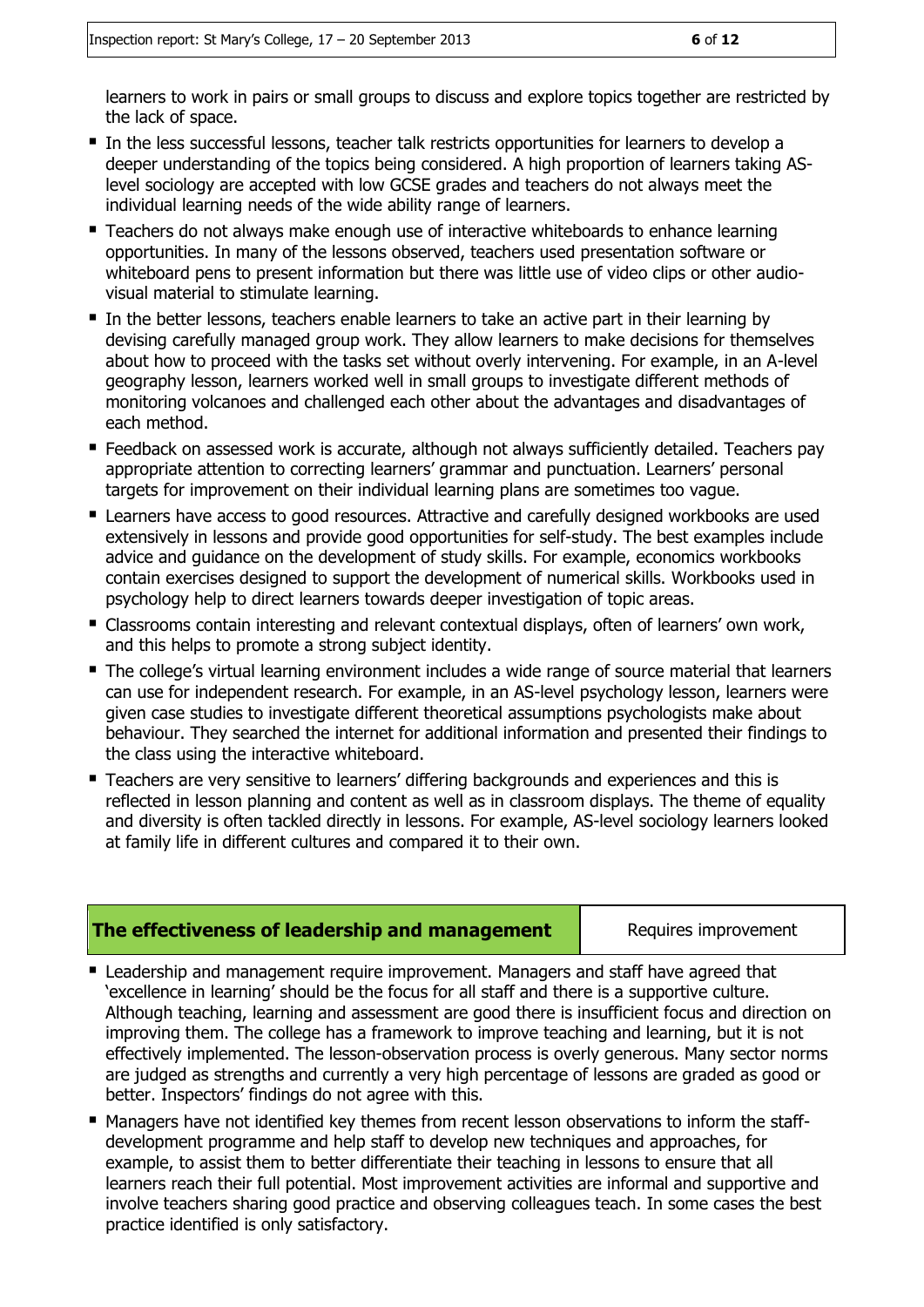learners to work in pairs or small groups to discuss and explore topics together are restricted by the lack of space.

- In the less successful lessons, teacher talk restricts opportunities for learners to develop a deeper understanding of the topics being considered. A high proportion of learners taking ASlevel sociology are accepted with low GCSE grades and teachers do not always meet the individual learning needs of the wide ability range of learners.
- Teachers do not always make enough use of interactive whiteboards to enhance learning opportunities. In many of the lessons observed, teachers used presentation software or whiteboard pens to present information but there was little use of video clips or other audiovisual material to stimulate learning.
- In the better lessons, teachers enable learners to take an active part in their learning by devising carefully managed group work. They allow learners to make decisions for themselves about how to proceed with the tasks set without overly intervening. For example, in an A-level geography lesson, learners worked well in small groups to investigate different methods of monitoring volcanoes and challenged each other about the advantages and disadvantages of each method.
- **Feedback on assessed work is accurate, although not always sufficiently detailed. Teachers pay** appropriate attention to correcting learners' grammar and punctuation. Learners' personal targets for improvement on their individual learning plans are sometimes too vague.
- **E** Learners have access to good resources. Attractive and carefully designed workbooks are used extensively in lessons and provide good opportunities for self-study. The best examples include advice and guidance on the development of study skills. For example, economics workbooks contain exercises designed to support the development of numerical skills. Workbooks used in psychology help to direct learners towards deeper investigation of topic areas.
- Classrooms contain interesting and relevant contextual displays, often of learners' own work, and this helps to promote a strong subject identity.
- The college's virtual learning environment includes a wide range of source material that learners can use for independent research. For example, in an AS-level psychology lesson, learners were given case studies to investigate different theoretical assumptions psychologists make about behaviour. They searched the internet for additional information and presented their findings to the class using the interactive whiteboard.
- Teachers are very sensitive to learners' differing backgrounds and experiences and this is reflected in lesson planning and content as well as in classroom displays. The theme of equality and diversity is often tackled directly in lessons. For example, AS-level sociology learners looked at family life in different cultures and compared it to their own.

#### **The effectiveness of leadership and management** Requires improvement

- Leadership and management require improvement. Managers and staff have agreed that 'excellence in learning' should be the focus for all staff and there is a supportive culture. Although teaching, learning and assessment are good there is insufficient focus and direction on improving them. The college has a framework to improve teaching and learning, but it is not effectively implemented. The lesson-observation process is overly generous. Many sector norms are judged as strengths and currently a very high percentage of lessons are graded as good or better. Inspectors' findings do not agree with this.
- Managers have not identified key themes from recent lesson observations to inform the staffdevelopment programme and help staff to develop new techniques and approaches, for example, to assist them to better differentiate their teaching in lessons to ensure that all learners reach their full potential. Most improvement activities are informal and supportive and involve teachers sharing good practice and observing colleagues teach. In some cases the best practice identified is only satisfactory.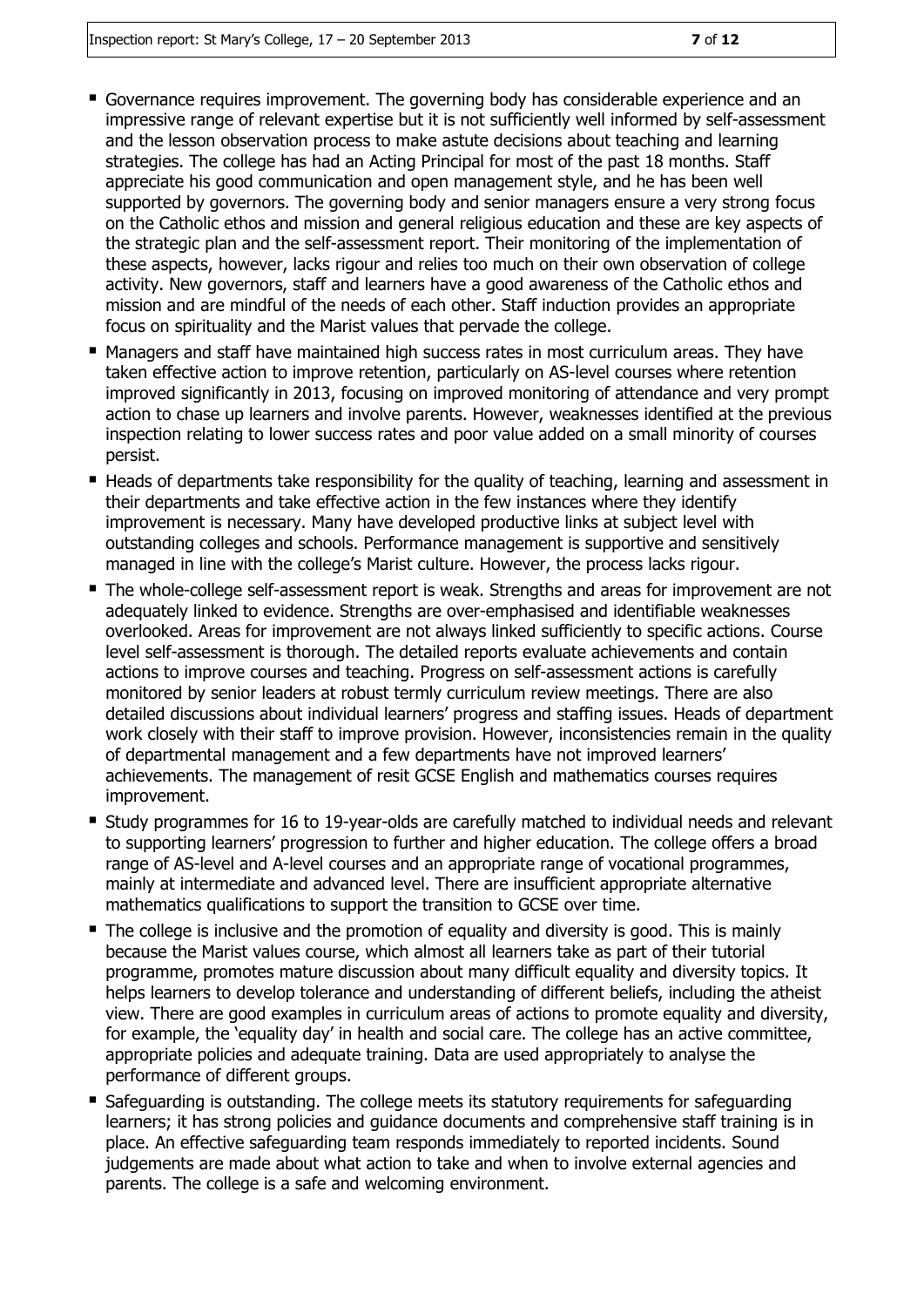- Governance requires improvement. The governing body has considerable experience and an impressive range of relevant expertise but it is not sufficiently well informed by self-assessment and the lesson observation process to make astute decisions about teaching and learning strategies. The college has had an Acting Principal for most of the past 18 months. Staff appreciate his good communication and open management style, and he has been well supported by governors. The governing body and senior managers ensure a very strong focus on the Catholic ethos and mission and general religious education and these are key aspects of the strategic plan and the self-assessment report. Their monitoring of the implementation of these aspects, however, lacks rigour and relies too much on their own observation of college activity. New governors, staff and learners have a good awareness of the Catholic ethos and mission and are mindful of the needs of each other. Staff induction provides an appropriate focus on spirituality and the Marist values that pervade the college.
- Managers and staff have maintained high success rates in most curriculum areas. They have taken effective action to improve retention, particularly on AS-level courses where retention improved significantly in 2013, focusing on improved monitoring of attendance and very prompt action to chase up learners and involve parents. However, weaknesses identified at the previous inspection relating to lower success rates and poor value added on a small minority of courses persist.
- **Heads of departments take responsibility for the quality of teaching, learning and assessment in** their departments and take effective action in the few instances where they identify improvement is necessary. Many have developed productive links at subject level with outstanding colleges and schools. Performance management is supportive and sensitively managed in line with the college's Marist culture. However, the process lacks rigour.
- The whole-college self-assessment report is weak. Strengths and areas for improvement are not adequately linked to evidence. Strengths are over-emphasised and identifiable weaknesses overlooked. Areas for improvement are not always linked sufficiently to specific actions. Course level self-assessment is thorough. The detailed reports evaluate achievements and contain actions to improve courses and teaching. Progress on self-assessment actions is carefully monitored by senior leaders at robust termly curriculum review meetings. There are also detailed discussions about individual learners' progress and staffing issues. Heads of department work closely with their staff to improve provision. However, inconsistencies remain in the quality of departmental management and a few departments have not improved learners' achievements. The management of resit GCSE English and mathematics courses requires improvement.
- Study programmes for 16 to 19-year-olds are carefully matched to individual needs and relevant to supporting learners' progression to further and higher education. The college offers a broad range of AS-level and A-level courses and an appropriate range of vocational programmes, mainly at intermediate and advanced level. There are insufficient appropriate alternative mathematics qualifications to support the transition to GCSE over time.
- The college is inclusive and the promotion of equality and diversity is good. This is mainly because the Marist values course, which almost all learners take as part of their tutorial programme, promotes mature discussion about many difficult equality and diversity topics. It helps learners to develop tolerance and understanding of different beliefs, including the atheist view. There are good examples in curriculum areas of actions to promote equality and diversity, for example, the 'equality day' in health and social care. The college has an active committee, appropriate policies and adequate training. Data are used appropriately to analyse the performance of different groups.
- Safeguarding is outstanding. The college meets its statutory requirements for safeguarding learners; it has strong policies and guidance documents and comprehensive staff training is in place. An effective safeguarding team responds immediately to reported incidents. Sound judgements are made about what action to take and when to involve external agencies and parents. The college is a safe and welcoming environment.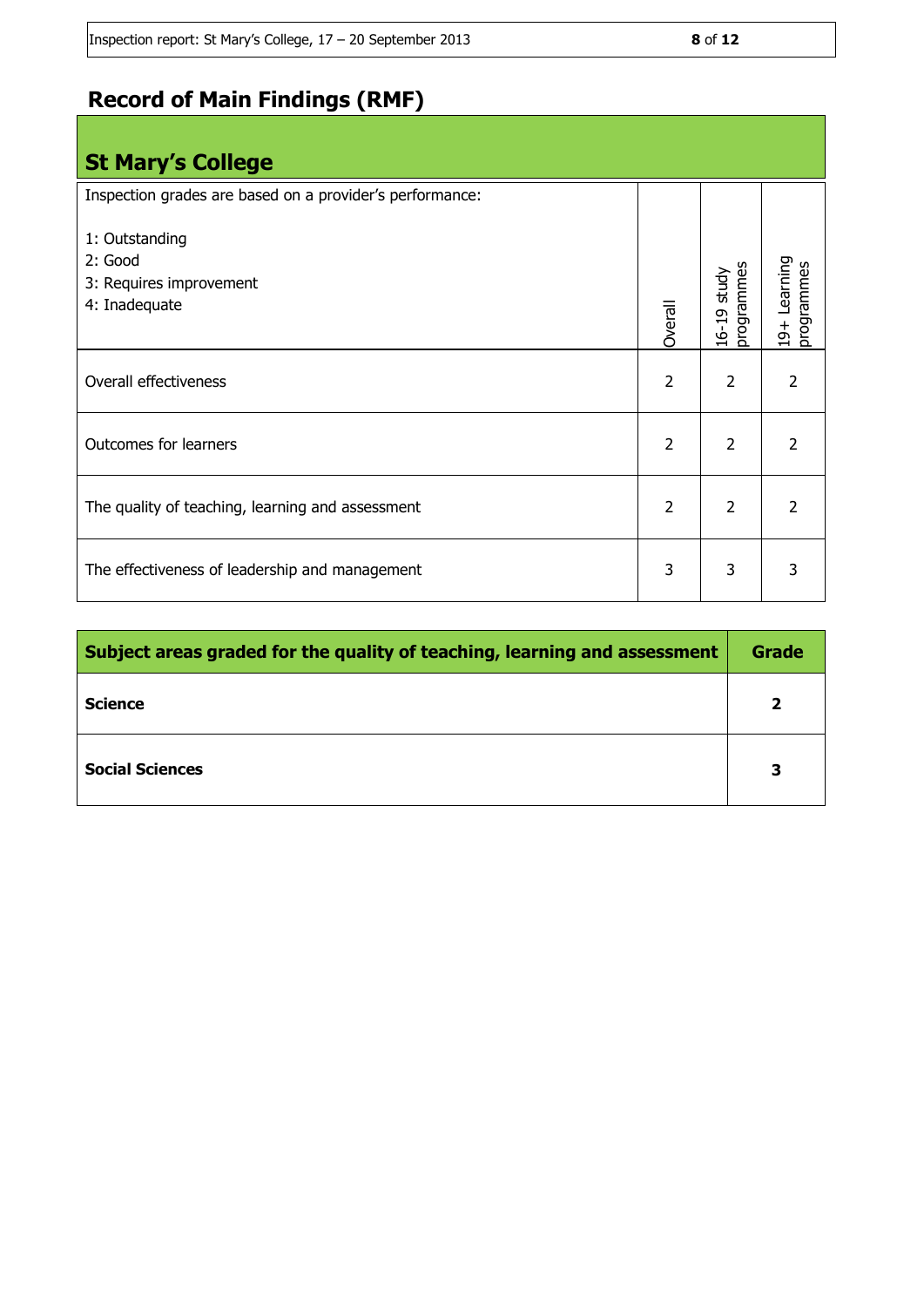## **Record of Main Findings (RMF)**

| <b>St Mary's College</b>                                              |                |                           |                            |
|-----------------------------------------------------------------------|----------------|---------------------------|----------------------------|
| Inspection grades are based on a provider's performance:              |                |                           |                            |
| 1: Outstanding<br>2: Good<br>3: Requires improvement<br>4: Inadequate | Overall        | 16-19 study<br>programmes | 19+ Learning<br>programmes |
| Overall effectiveness                                                 | $\overline{2}$ | $\overline{2}$            | $\overline{\phantom{a}}$   |
| Outcomes for learners                                                 | $\overline{2}$ | $\overline{2}$            | $\overline{2}$             |
| The quality of teaching, learning and assessment                      | $\overline{2}$ | $\overline{2}$            | $\overline{2}$             |
| The effectiveness of leadership and management                        | 3              | 3                         | 3                          |

| Subject areas graded for the quality of teaching, learning and assessment |   |  |
|---------------------------------------------------------------------------|---|--|
| Science                                                                   |   |  |
| <b>Social Sciences</b>                                                    | 3 |  |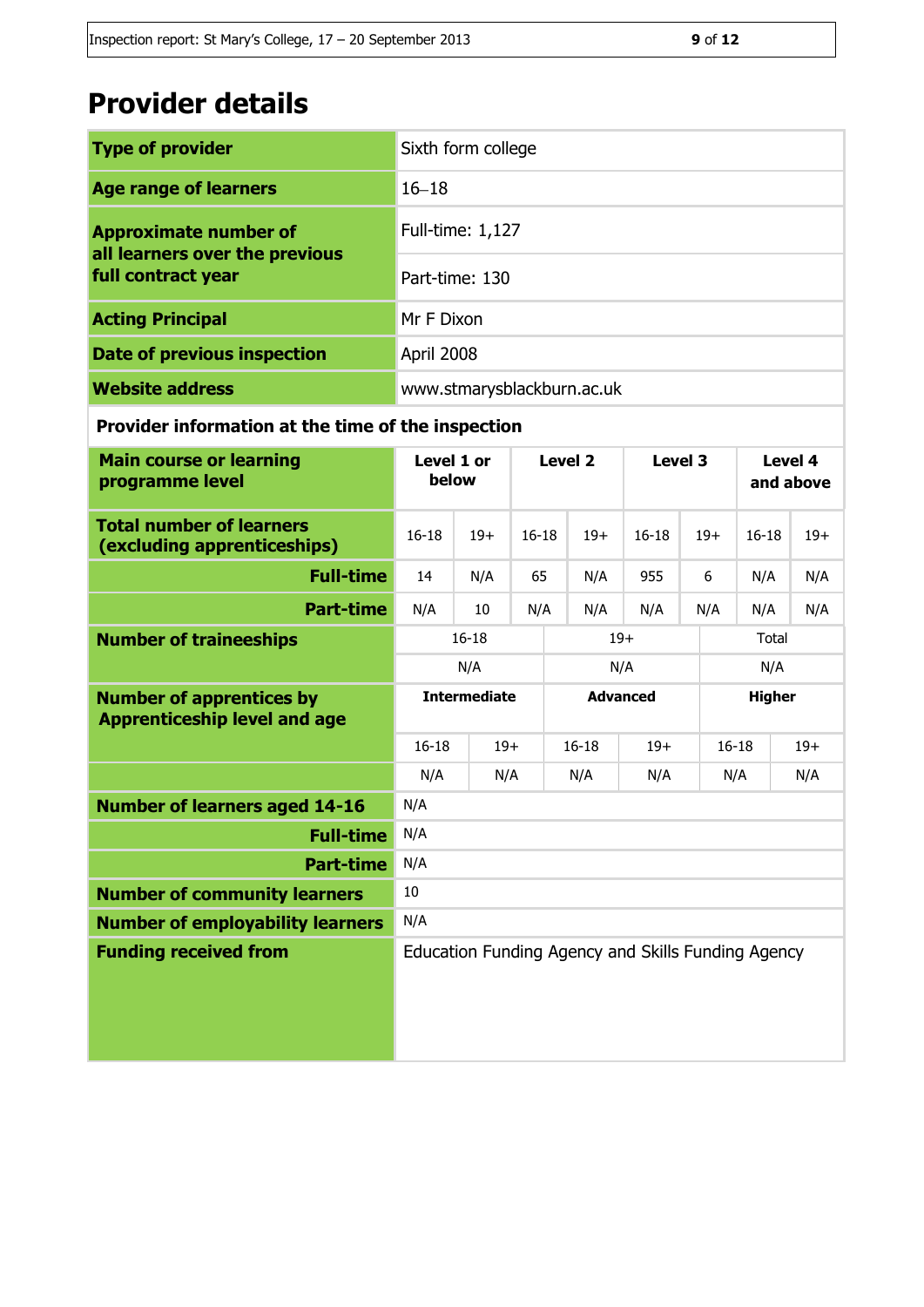# **Provider details**

| <b>Type of provider</b>                              | Sixth form college         |  |  |
|------------------------------------------------------|----------------------------|--|--|
| <b>Age range of learners</b>                         | $16 - 18$                  |  |  |
| <b>Approximate number of</b>                         | Full-time: 1,127           |  |  |
| all learners over the previous<br>full contract year | Part-time: 130             |  |  |
| <b>Acting Principal</b>                              | Mr F Dixon                 |  |  |
| <b>Date of previous inspection</b>                   | April 2008                 |  |  |
| <b>Website address</b>                               | www.stmarysblackburn.ac.uk |  |  |

## **Provider information at the time of the inspection**

| <b>Main course or learning</b><br>programme level                      | Level 1 or<br>below |       | <b>Level 2</b> |     | Level 3         |                                                    | Level 4<br>and above |           |       |
|------------------------------------------------------------------------|---------------------|-------|----------------|-----|-----------------|----------------------------------------------------|----------------------|-----------|-------|
| <b>Total number of learners</b><br>(excluding apprenticeships)         | $16 - 18$           | $19+$ | $16 - 18$      |     | $19+$           | $16 - 18$                                          | $19+$                | $16 - 18$ | $19+$ |
| <b>Full-time</b>                                                       | 14                  | N/A   | 65             |     | N/A             | 955                                                | 6                    | N/A       | N/A   |
| <b>Part-time</b>                                                       | N/A                 | 10    | N/A            |     | N/A             | N/A                                                | N/A                  | N/A       | N/A   |
| <b>Number of traineeships</b>                                          | $16 - 18$           |       | $19+$          |     |                 |                                                    | Total                |           |       |
|                                                                        |                     | N/A   |                | N/A |                 | N/A                                                |                      |           |       |
| <b>Number of apprentices by</b><br><b>Apprenticeship level and age</b> | <b>Intermediate</b> |       |                |     | <b>Advanced</b> |                                                    | <b>Higher</b>        |           |       |
|                                                                        | $16 - 18$           |       | $19+$          |     | $16 - 18$       | $19+$                                              |                      | $16 - 18$ | $19+$ |
|                                                                        | N/A                 | N/A   |                | N/A |                 | N/A                                                |                      | N/A       | N/A   |
| <b>Number of learners aged 14-16</b>                                   | N/A                 |       |                |     |                 |                                                    |                      |           |       |
| <b>Full-time</b>                                                       | N/A                 |       |                |     |                 |                                                    |                      |           |       |
| <b>Part-time</b>                                                       | N/A                 |       |                |     |                 |                                                    |                      |           |       |
| <b>Number of community learners</b>                                    | 10                  |       |                |     |                 |                                                    |                      |           |       |
| <b>Number of employability learners</b>                                | N/A                 |       |                |     |                 |                                                    |                      |           |       |
| <b>Funding received from</b>                                           |                     |       |                |     |                 | Education Funding Agency and Skills Funding Agency |                      |           |       |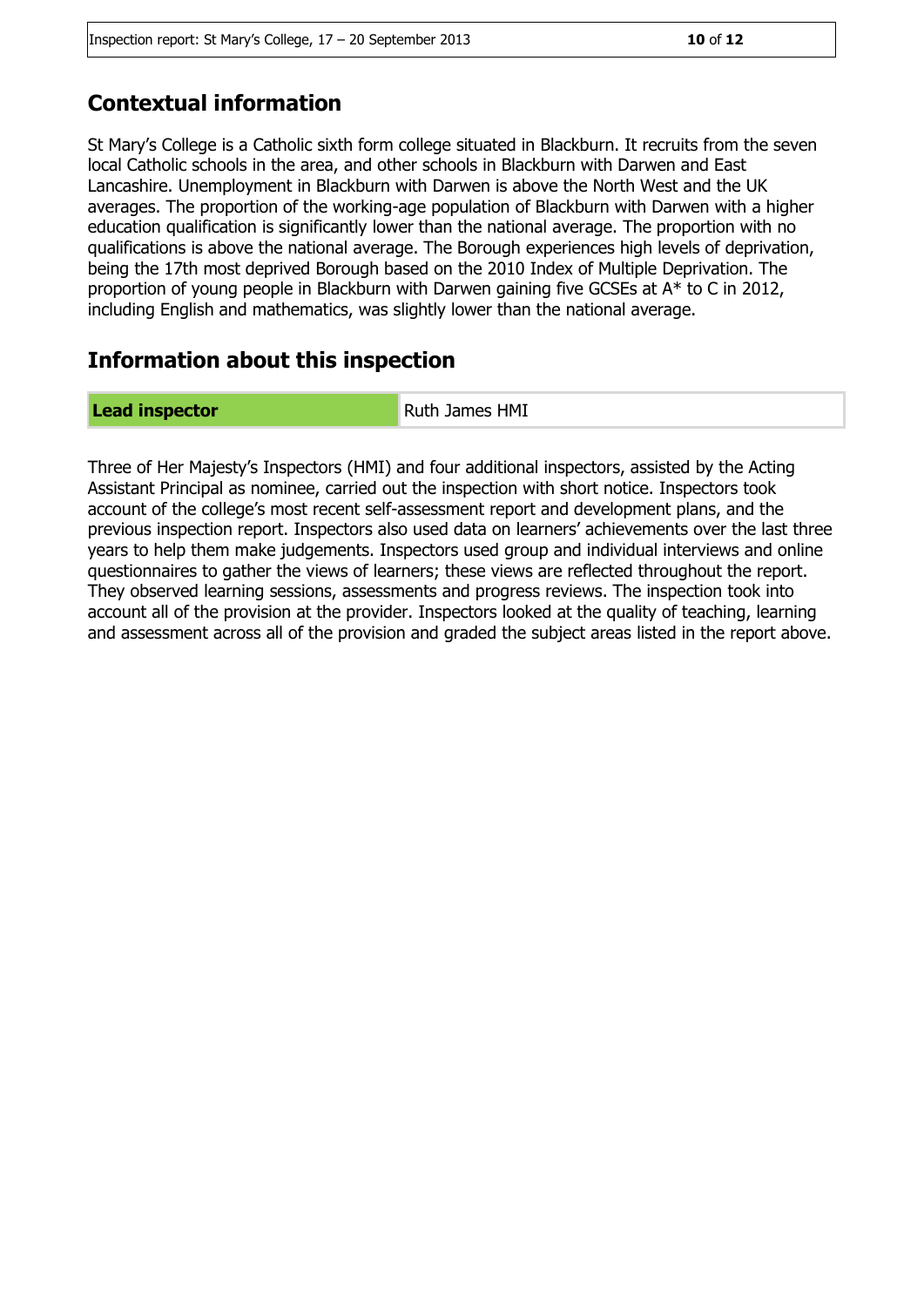## **Contextual information**

St Mary's College is a Catholic sixth form college situated in Blackburn. It recruits from the seven local Catholic schools in the area, and other schools in Blackburn with Darwen and East Lancashire. Unemployment in Blackburn with Darwen is above the North West and the UK averages. The proportion of the working-age population of Blackburn with Darwen with a higher education qualification is significantly lower than the national average. The proportion with no qualifications is above the national average. The Borough experiences high levels of deprivation, being the 17th most deprived Borough based on the 2010 Index of Multiple Deprivation. The proportion of young people in Blackburn with Darwen gaining five GCSEs at A\* to C in 2012, including English and mathematics, was slightly lower than the national average.

## **Information about this inspection**

#### **Lead inspector Ruth James HMI**

Three of Her Majesty's Inspectors (HMI) and four additional inspectors, assisted by the Acting Assistant Principal as nominee, carried out the inspection with short notice. Inspectors took account of the college's most recent self-assessment report and development plans, and the previous inspection report. Inspectors also used data on learners' achievements over the last three years to help them make judgements. Inspectors used group and individual interviews and online questionnaires to gather the views of learners; these views are reflected throughout the report. They observed learning sessions, assessments and progress reviews. The inspection took into account all of the provision at the provider. Inspectors looked at the quality of teaching, learning and assessment across all of the provision and graded the subject areas listed in the report above.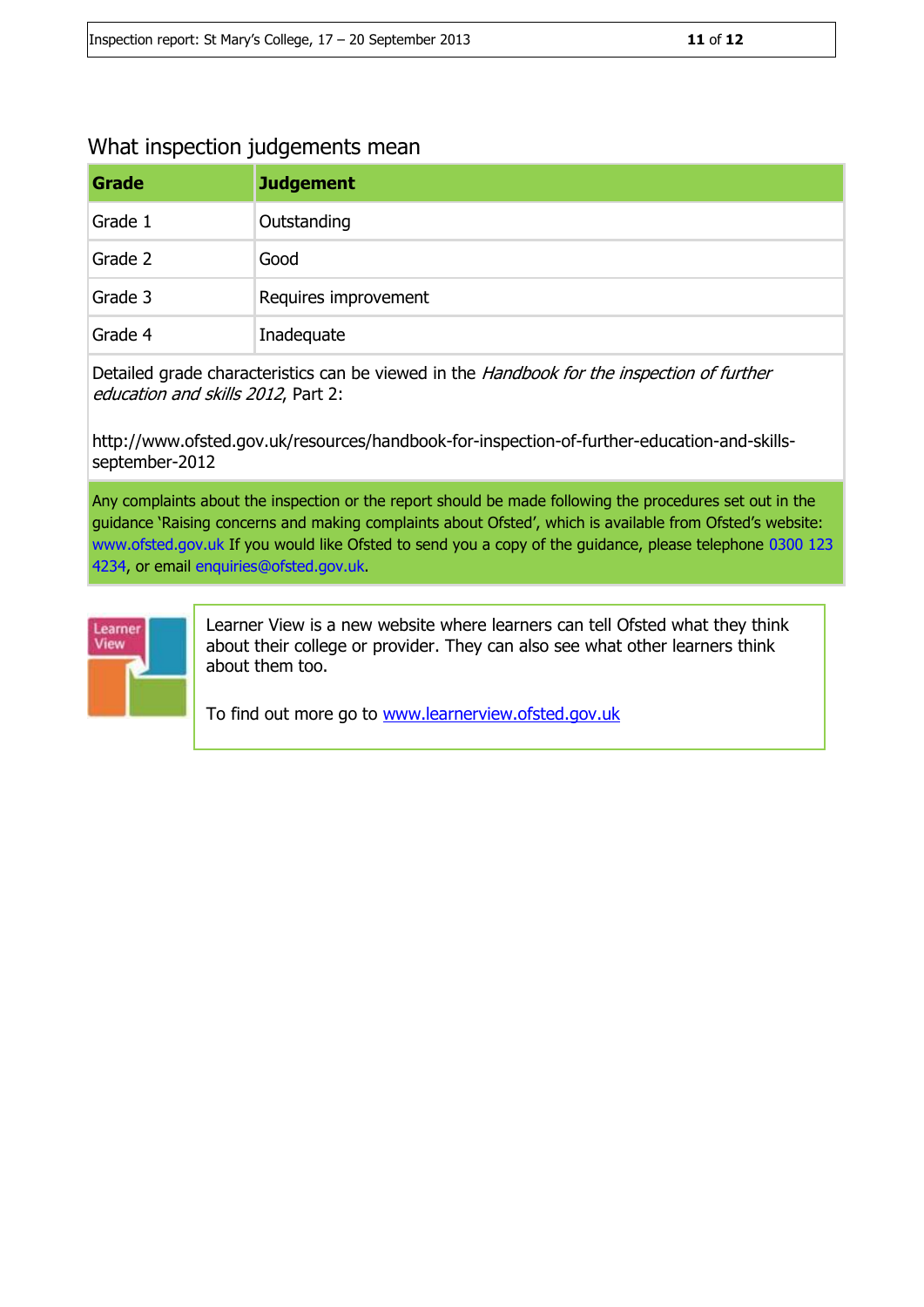## What inspection judgements mean

| Grade   | <b>Judgement</b>     |
|---------|----------------------|
| Grade 1 | Outstanding          |
| Grade 2 | Good                 |
| Grade 3 | Requires improvement |
| Grade 4 | Inadequate           |

Detailed grade characteristics can be viewed in the Handbook for the inspection of further education and skills 2012, Part 2:

http://www.ofsted.gov.uk/resources/handbook-for-inspection-of-further-education-and-skillsseptember-2012

Any complaints about the inspection or the report should be made following the procedures set out in the guidance 'Raising concerns and making complaints about Ofsted', which is available from Ofsted's website: www.ofsted.gov.uk If you would like Ofsted to send you a copy of the guidance, please telephone 0300 123 4234, or email enquiries@ofsted.gov.uk.



Learner View is a new website where learners can tell Ofsted what they think about their college or provider. They can also see what other learners think about them too.

To find out more go to [www.learnerview.ofsted.gov.uk](http://www.learnerview.ofsted.gov.uk/)